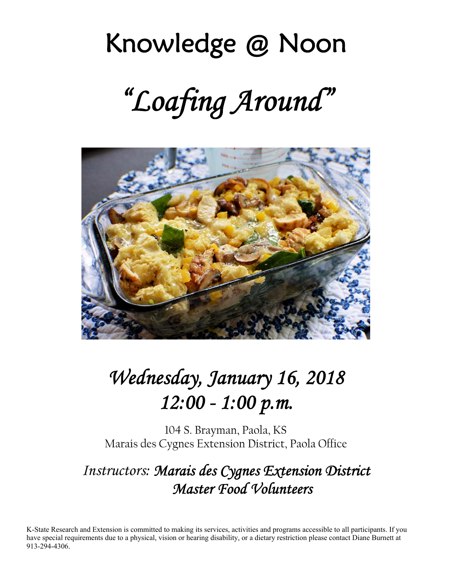# Knowledge @ Noon *"Loafing Around"*



# *Wednesday, January 16, 2018 12:00 - 1:00 p.m.*

104 S. Brayman, Paola, KS Marais des Cygnes Extension District, Paola Office

## *Instructors: Marais des Cygnes Extension District Master Food Volunteers*

K-State Research and Extension is committed to making its services, activities and programs accessible to all participants. If you have special requirements due to a physical, vision or hearing disability, or a dietary restriction please contact Diane Burnett at 913-294-4306.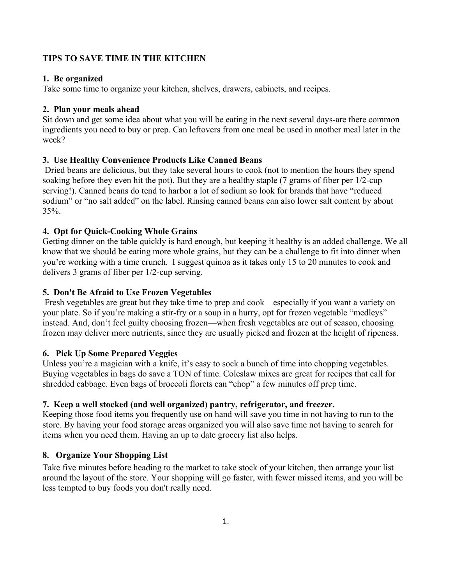#### **TIPS TO SAVE TIME IN THE KITCHEN**

#### **1. Be organized**

Take some time to organize your kitchen, shelves, drawers, cabinets, and recipes.

#### **2. Plan your meals ahead**

Sit down and get some idea about what you will be eating in the next several days-are there common ingredients you need to buy or prep. Can leftovers from one meal be used in another meal later in the week?

#### **3. Use Healthy Convenience Products Like Canned Beans**

 Dried beans are delicious, but they take several hours to cook (not to mention the hours they spend soaking before they even hit the pot). But they are a healthy staple (7 grams of fiber per 1/2-cup serving!). Canned beans do tend to harbor a lot of sodium so look for brands that have "reduced sodium" or "no salt added" on the label. Rinsing canned beans can also lower salt content by about 35%.

#### **4. Opt for Quick-Cooking Whole Grains**

Getting dinner on the table quickly is hard enough, but keeping it healthy is an added challenge. We all know that we should be eating more whole grains, but they can be a challenge to fit into dinner when you're working with a time crunch. I suggest quinoa as it takes only 15 to 20 minutes to cook and delivers 3 grams of fiber per 1/2-cup serving.

#### **5. Don't Be Afraid to Use Frozen Vegetables**

 Fresh vegetables are great but they take time to prep and cook—especially if you want a variety on your plate. So if you're making a stir-fry or a soup in a hurry, opt for frozen vegetable "medleys" instead. And, don't feel guilty choosing frozen—when fresh vegetables are out of season, choosing frozen may deliver more nutrients, since they are usually picked and frozen at the height of ripeness.

#### **6. Pick Up Some Prepared Veggies**

Unless you're a magician with a knife, it's easy to sock a bunch of time into chopping vegetables. Buying vegetables in bags do save a TON of time. Coleslaw mixes are great for recipes that call for shredded cabbage. Even bags of broccoli florets can "chop" a few minutes off prep time.

#### **7. Keep a well stocked (and well organized) pantry, refrigerator, and freezer.**

Keeping those food items you frequently use on hand will save you time in not having to run to the store. By having your food storage areas organized you will also save time not having to search for items when you need them. Having an up to date grocery list also helps.

#### **8. Organize Your Shopping List**

Take five minutes before heading to the market to take stock of your kitchen, then arrange your list around the layout of the store. Your shopping will go faster, with fewer missed items, and you will be less tempted to buy foods you don't really need.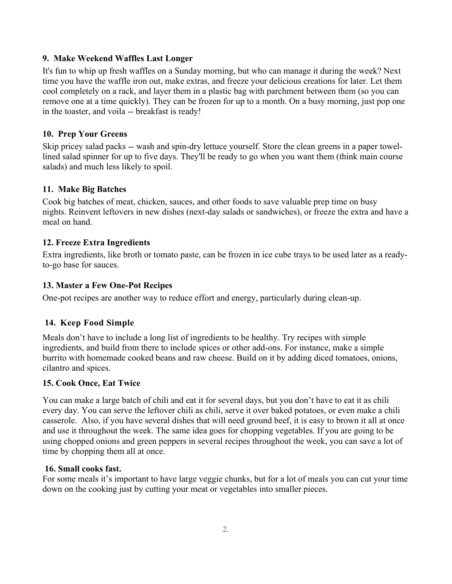#### **9. Make Weekend Waffles Last Longer**

It's fun to whip up fresh waffles on a Sunday morning, but who can manage it during the week? Next time you have the waffle iron out, make extras, and freeze your delicious creations for later. Let them cool completely on a rack, and layer them in a plastic bag with parchment between them (so you can remove one at a time quickly). They can be frozen for up to a month. On a busy morning, just pop one in the toaster, and voila -- breakfast is ready!

#### **10. Prep Your Greens**

Skip pricey salad packs -- wash and spin-dry lettuce yourself. Store the clean greens in a paper towellined salad spinner for up to five days. They'll be ready to go when you want them (think main course salads) and much less likely to spoil.

#### **11. Make Big Batches**

Cook big batches of meat, chicken, sauces, and other foods to save valuable prep time on busy nights. Reinvent leftovers in new dishes (next-day salads or sandwiches), or freeze the extra and have a meal on hand.

#### **12. Freeze Extra Ingredients**

Extra ingredients, like broth or tomato paste, can be frozen in ice cube trays to be used later as a readyto-go base for sauces.

#### **13. Master a Few One-Pot Recipes**

One-pot recipes are another way to reduce effort and energy, particularly during clean-up.

#### **14. Keep Food Simple**

Meals don't have to include a long list of ingredients to be healthy. Try recipes with simple ingredients, and build from there to include spices or other add-ons. For instance, make a simple burrito with homemade cooked beans and raw cheese. Build on it by adding diced tomatoes, onions, cilantro and spices.

#### **15. Cook Once, Eat Twice**

You can make a large batch of chili and eat it for several days, but you don't have to eat it as chili every day. You can serve the leftover chili as chili, serve it over baked potatoes, or even make a chili casserole. Also, if you have several dishes that will need ground beef, it is easy to brown it all at once and use it throughout the week. The same idea goes for chopping vegetables. If you are going to be using chopped onions and green peppers in several recipes throughout the week, you can save a lot of time by chopping them all at once.

#### **16. Small cooks fast.**

For some meals it's important to have large veggie chunks, but for a lot of meals you can cut your time down on the cooking just by cutting your meat or vegetables into smaller pieces.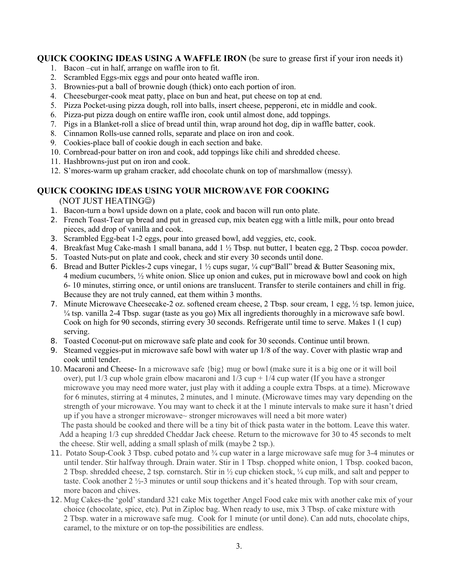#### **QUICK COOKING IDEAS USING A WAFFLE IRON** (be sure to grease first if your iron needs it)

- 1. Bacon –cut in half, arrange on waffle iron to fit.
- 2. Scrambled Eggs-mix eggs and pour onto heated waffle iron.
- 3. Brownies-put a ball of brownie dough (thick) onto each portion of iron.
- 4. Cheeseburger-cook meat patty, place on bun and heat, put cheese on top at end.
- 5. Pizza Pocket-using pizza dough, roll into balls, insert cheese, pepperoni, etc in middle and cook.
- 6. Pizza-put pizza dough on entire waffle iron, cook until almost done, add toppings.
- 7. Pigs in a Blanket-roll a slice of bread until thin, wrap around hot dog, dip in waffle batter, cook.
- 8. Cinnamon Rolls-use canned rolls, separate and place on iron and cook.
- 9. Cookies-place ball of cookie dough in each section and bake.
- 10. Cornbread-pour batter on iron and cook, add toppings like chili and shredded cheese.
- 11. Hashbrowns-just put on iron and cook.
- 12. S'mores-warm up graham cracker, add chocolate chunk on top of marshmallow (messy).

#### **QUICK COOKING IDEAS USING YOUR MICROWAVE FOR COOKING**

(NOT JUST HEATING<sup>®</sup>)

- 1. Bacon-turn a bowl upside down on a plate, cook and bacon will run onto plate.
- 2. French Toast-Tear up bread and put in greased cup, mix beaten egg with a little milk, pour onto bread pieces, add drop of vanilla and cook.
- 3. Scrambled Egg-beat 1-2 eggs, pour into greased bowl, add veggies, etc, cook.
- 4. Breakfast Mug Cake-mash 1 small banana, add 1 ½ Tbsp. nut butter, 1 beaten egg, 2 Tbsp. cocoa powder.
- 5. Toasted Nuts-put on plate and cook, check and stir every 30 seconds until done.
- 6. Bread and Butter Pickles-2 cups vinegar,  $1 \frac{1}{2}$  cups sugar,  $\frac{1}{4}$  cup "Ball" bread & Butter Seasoning mix, 4 medium cucumbers, ½ white onion. Slice up onion and cukes, put in microwave bowl and cook on high 6- 10 minutes, stirring once, or until onions are translucent. Transfer to sterile containers and chill in frig. Because they are not truly canned, eat them within 3 months.
- 7. Minute Microwave Cheesecake-2 oz. softened cream cheese, 2 Tbsp. sour cream, 1 egg, ½ tsp. lemon juice, ¼ tsp. vanilla 2-4 Tbsp. sugar (taste as you go) Mix all ingredients thoroughly in a microwave safe bowl. Cook on high for 90 seconds, stirring every 30 seconds. Refrigerate until time to serve. Makes 1 (1 cup) serving.
- 8. Toasted Coconut-put on microwave safe plate and cook for 30 seconds. Continue until brown.
- 9. Steamed veggies-put in microwave safe bowl with water up 1/8 of the way. Cover with plastic wrap and cook until tender.
- 10. Macaroni and Cheese- In a microwave safe {big} mug or bowl (make sure it is a big one or it will boil over), put  $1/3$  cup whole grain elbow macaroni and  $1/3$  cup +  $1/4$  cup water (If you have a stronger microwave you may need more water, just play with it adding a couple extra Tbsps. at a time). Microwave for 6 minutes, stirring at 4 minutes, 2 minutes, and 1 minute. (Microwave times may vary depending on the strength of your microwave. You may want to check it at the 1 minute intervals to make sure it hasn't dried up if you have a stronger microwave~ stronger microwaves will need a bit more water)

 The pasta should be cooked and there will be a tiny bit of thick pasta water in the bottom. Leave this water. Add a heaping 1/3 cup shredded Cheddar Jack cheese. Return to the microwave for 30 to 45 seconds to melt the cheese. Stir well, adding a small splash of milk (maybe 2 tsp.).

- 11. Potato Soup-Cook 3 Tbsp. cubed potato and ¾ cup water in a large microwave safe mug for 3-4 minutes or until tender. Stir halfway through. Drain water. Stir in 1 Tbsp. chopped white onion, 1 Tbsp. cooked bacon, 2 Tbsp. shredded cheese, 2 tsp. cornstarch. Stir in ½ cup chicken stock, ¼ cup milk, and salt and pepper to taste. Cook another 2 ½-3 minutes or until soup thickens and it's heated through. Top with sour cream, more bacon and chives.
- 12. Mug Cakes-the 'gold' standard 321 cake Mix together Angel Food cake mix with another cake mix of your choice (chocolate, spice, etc). Put in Ziploc bag. When ready to use, mix 3 Tbsp. of cake mixture with 2 Tbsp. water in a microwave safe mug. Cook for 1 minute (or until done). Can add nuts, chocolate chips, caramel, to the mixture or on top-the possibilities are endless.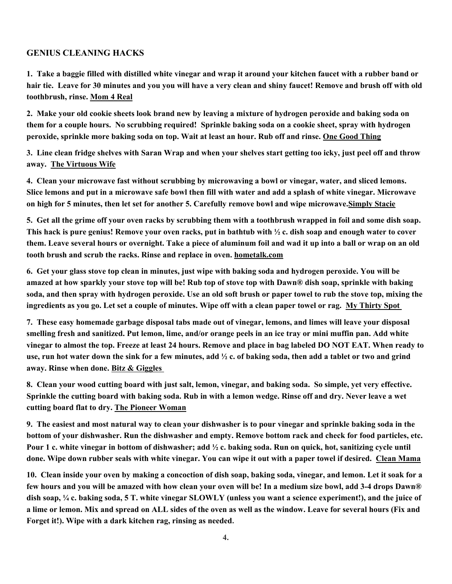#### **GENIUS CLEANING HACKS**

**1. Take a baggie filled with distilled white vinegar and wrap it around your kitchen faucet with a rubber band or hair tie. Leave for 30 minutes and you you will have a very clean and shiny faucet! Remove and brush off with old toothbrush, rinse. Mom 4 Real** 

**2. Make your old cookie sheets look brand new by leaving a mixture of hydrogen peroxide and baking soda on them for a couple hours. No scrubbing required! Sprinkle baking soda on a cookie sheet, spray with hydrogen peroxide, sprinkle more baking soda on top. Wait at least an hour. Rub off and rinse. One Good Thing** 

**3. Line clean fridge shelves with Saran Wrap and when your shelves start getting too icky, just peel off and throw away. The Virtuous Wife** 

**4. Clean your microwave fast without scrubbing by microwaving a bowl or vinegar, water, and sliced lemons. Slice lemons and put in a microwave safe bowl then fill with water and add a splash of white vinegar. Microwave on high for 5 minutes, then let set for another 5. Carefully remove bowl and wipe microwave.Simply Stacie** 

**5. Get all the grime off your oven racks by scrubbing them with a toothbrush wrapped in foil and some dish soap. This hack is pure genius! Remove your oven racks, put in bathtub with ½ c. dish soap and enough water to cover them. Leave several hours or overnight. Take a piece of aluminum foil and wad it up into a ball or wrap on an old tooth brush and scrub the racks. Rinse and replace in oven. hometalk.com** 

**6. Get your glass stove top clean in minutes, just wipe with baking soda and hydrogen peroxide. You will be amazed at how sparkly your stove top will be! Rub top of stove top with Dawn® dish soap, sprinkle with baking soda, and then spray with hydrogen peroxide. Use an old soft brush or paper towel to rub the stove top, mixing the ingredients as you go. Let set a couple of minutes. Wipe off with a clean paper towel or rag. My Thirty Spot** 

**7. These easy homemade garbage disposal tabs made out of vinegar, lemons, and limes will leave your disposal smelling fresh and sanitized. Put lemon, lime, and/or orange peels in an ice tray or mini muffin pan. Add white vinegar to almost the top. Freeze at least 24 hours. Remove and place in bag labeled DO NOT EAT. When ready to use, run hot water down the sink for a few minutes, add ½ c. of baking soda, then add a tablet or two and grind away. Rinse when done. Bitz & Giggles** 

**8. Clean your wood cutting board with just salt, lemon, vinegar, and baking soda. So simple, yet very effective. Sprinkle the cutting board with baking soda. Rub in with a lemon wedge. Rinse off and dry. Never leave a wet cutting board flat to dry. The Pioneer Woman** 

**9. The easiest and most natural way to clean your dishwasher is to pour vinegar and sprinkle baking soda in the bottom of your dishwasher. Run the dishwasher and empty. Remove bottom rack and check for food particles, etc. Pour 1 c. white vinegar in bottom of dishwasher; add ½ c. baking soda. Run on quick, hot, sanitizing cycle until done. Wipe down rubber seals with white vinegar. You can wipe it out with a paper towel if desired. Clean Mama** 

**10. Clean inside your oven by making a concoction of dish soap, baking soda, vinegar, and lemon. Let it soak for a few hours and you will be amazed with how clean your oven will be! In a medium size bowl, add 3-4 drops Dawn® dish soap, ¼ c. baking soda, 5 T. white vinegar SLOWLY (unless you want a science experiment!), and the juice of a lime or lemon. Mix and spread on ALL sides of the oven as well as the window. Leave for several hours (Fix and Forget it!). Wipe with a dark kitchen rag, rinsing as needed.**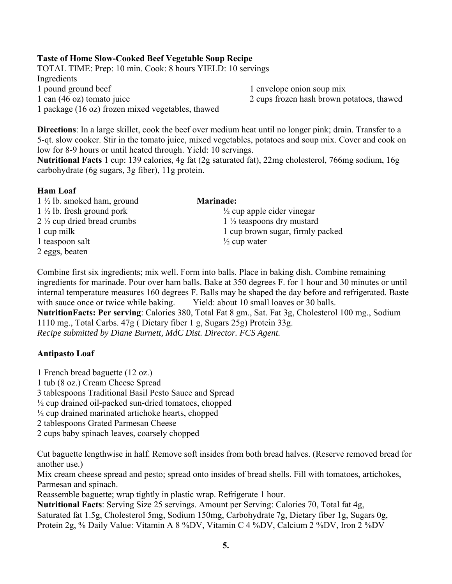#### **Taste of Home Slow-Cooked Beef Vegetable Soup Recipe**

TOTAL TIME: Prep: 10 min. Cook: 8 hours YIELD: 10 servings Ingredients 1 pound ground beef 1 envelope onion soup mix 1 can (46 oz) tomato juice 2 cups frozen hash brown potatoes, thawed 1 package (16 oz) frozen mixed vegetables, thawed

**Directions**: In a large skillet, cook the beef over medium heat until no longer pink; drain. Transfer to a 5-qt. slow cooker. Stir in the tomato juice, mixed vegetables, potatoes and soup mix. Cover and cook on low for 8-9 hours or until heated through. Yield: 10 servings.

**Nutritional Facts** 1 cup: 139 calories, 4g fat (2g saturated fat), 22mg cholesterol, 766mg sodium, 16g carbohydrate (6g sugars, 3g fiber), 11g protein.

#### **Ham Loaf**

1 ½ lb. smoked ham, ground **Marinade:**   $1\frac{1}{2}$  lb. fresh ground pork  $\frac{1}{2}$  cup apple cider vinegar 2  $\frac{1}{2}$  cup dried bread crumbs 1  $\frac{1}{2}$  teaspoons dry mustard 1 teaspoon salt  $\frac{1}{2}$  cup water 2 eggs, beaten

1 cup milk 1 cup brown sugar, firmly packed

Combine first six ingredients; mix well. Form into balls. Place in baking dish. Combine remaining ingredients for marinade. Pour over ham balls. Bake at 350 degrees F. for 1 hour and 30 minutes or until internal temperature measures 160 degrees F. Balls may be shaped the day before and refrigerated. Baste with sauce once or twice while baking. Yield: about 10 small loaves or 30 balls. **NutritionFacts: Per serving**: Calories 380, Total Fat 8 gm., Sat. Fat 3g, Cholesterol 100 mg., Sodium 1110 mg., Total Carbs. 47g ( Dietary fiber 1 g, Sugars 25g) Protein 33g. *Recipe submitted by Diane Burnett, MdC Dist. Director. FCS Agent.* 

#### **Antipasto Loaf**

1 French bread baguette (12 oz.) 1 tub (8 oz.) Cream Cheese Spread 3 tablespoons Traditional Basil Pesto Sauce and Spread ½ cup drained oil-packed sun-dried tomatoes, chopped ½ cup drained marinated artichoke hearts, chopped 2 tablespoons Grated Parmesan Cheese 2 cups baby spinach leaves, coarsely chopped

Cut baguette lengthwise in half. Remove soft insides from both bread halves. (Reserve removed bread for another use.)

Mix cream cheese spread and pesto; spread onto insides of bread shells. Fill with tomatoes, artichokes, Parmesan and spinach.

Reassemble baguette; wrap tightly in plastic wrap. Refrigerate 1 hour.

**Nutritional Facts**: Serving Size 25 servings. Amount per Serving: Calories 70, Total fat 4g, Saturated fat 1.5g, Cholesterol 5mg, Sodium 150mg, Carbohydrate 7g, Dietary fiber 1g, Sugars 0g, Protein 2g, % Daily Value: Vitamin A 8 %DV, Vitamin C 4 %DV, Calcium 2 %DV, Iron 2 %DV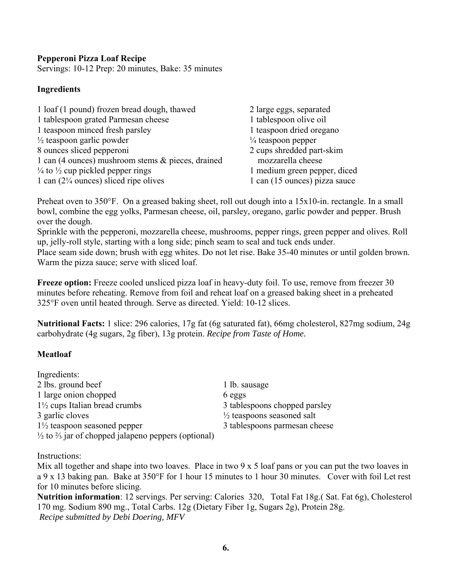#### **Pepperoni Pizza Loaf Recipe**

Servings: 10-12 Prep: 20 minutes, Bake: 35 minutes

## **Ingredients**

| 1 loaf (1 pound) frozen bread dough, thawed             | 2 large eggs, separated       |
|---------------------------------------------------------|-------------------------------|
| 1 tablespoon grated Parmesan cheese                     | 1 tablespoon olive oil        |
| 1 teaspoon minced fresh parsley                         | 1 teaspoon dried oregano      |
| $\frac{1}{2}$ teaspoon garlic powder                    | $\frac{1}{4}$ teaspoon pepper |
| 8 ounces sliced pepperoni                               | 2 cups shredded part-skim     |
| 1 can (4 ounces) mushroom stems & pieces, drained       | mozzarella cheese             |
| $\frac{1}{4}$ to $\frac{1}{2}$ cup pickled pepper rings | 1 medium green pepper, diced  |
| 1 can $(2\frac{1}{4}$ ounces) sliced ripe olives        | 1 can (15 ounces) pizza sauce |

Preheat oven to 350°F. On a greased baking sheet, roll out dough into a 15x10-in. rectangle. In a small bowl, combine the egg yolks, Parmesan cheese, oil, parsley, oregano, garlic powder and pepper. Brush over the dough.

Sprinkle with the pepperoni, mozzarella cheese, mushrooms, pepper rings, green pepper and olives. Roll up, jelly-roll style, starting with a long side; pinch seam to seal and tuck ends under.

Place seam side down; brush with egg whites. Do not let rise. Bake 35-40 minutes or until golden brown. Warm the pizza sauce; serve with sliced loaf.

**Freeze option:** Freeze cooled unsliced pizza loaf in heavy-duty foil. To use, remove from freezer 30 minutes before reheating. Remove from foil and reheat loaf on a greased baking sheet in a preheated 325°F oven until heated through. Serve as directed. Yield: 10-12 slices.

**Nutritional Facts:** 1 slice: 296 calories, 17g fat (6g saturated fat), 66mg cholesterol, 827mg sodium, 24g carbohydrate (4g sugars, 2g fiber), 13g protein. *Recipe from Taste of Home.* 

## **Meatloaf**

| Ingredients:                                                              |                                       |
|---------------------------------------------------------------------------|---------------------------------------|
| 2 lbs. ground beef                                                        | 1 lb. sausage                         |
| 1 large onion chopped                                                     | 6 eggs                                |
| $1\frac{1}{2}$ cups Italian bread crumbs                                  | 3 tablespoons chopped parsley         |
| 3 garlic cloves                                                           | $\frac{1}{2}$ teaspoons seasoned salt |
| $1\frac{1}{2}$ teaspoon seasoned pepper                                   | 3 tablespoons parmesan cheese         |
| $\frac{1}{2}$ to $\frac{2}{3}$ jar of chopped jalapeno peppers (optional) |                                       |

Instructions:

Mix all together and shape into two loaves. Place in two 9 x 5 loaf pans or you can put the two loaves in a 9 x 13 baking pan. Bake at 350°F for 1 hour 15 minutes to 1 hour 30 minutes. Cover with foil Let rest for 10 minutes before slicing.

**Nutrition information**: 12 servings. Per serving: Calories 320, Total Fat 18g.( Sat. Fat 6g), Cholesterol 170 mg. Sodium 890 mg., Total Carbs. 12g (Dietary Fiber 1g, Sugars 2g), Protein 28g. *Recipe submitted by Debi Doering, MFV*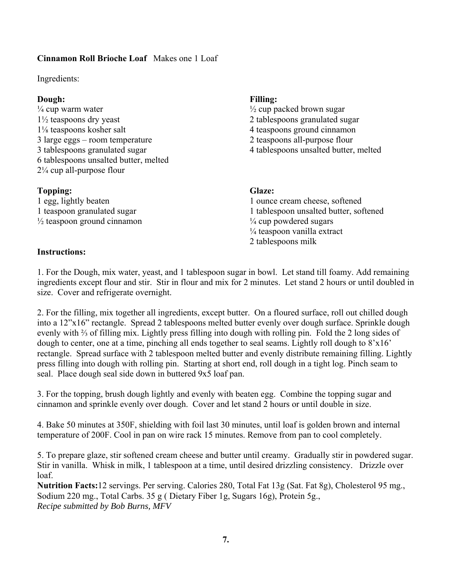### **Cinnamon Roll Brioche Loaf** Makes one 1 Loaf

Ingredients:

#### **Dough: Filling:**

 $\frac{1}{4}$  cup warm water  $\frac{1}{2}$  cup packed brown sugar 1½ teaspoons dry yeast 2 tablespoons granulated sugar 1⅛ teaspoons kosher salt 4 teaspoons ground cinnamon 3 large eggs – room temperature 2 teaspoons all-purpose flour 3 tablespoons granulated sugar 4 tablespoons unsalted butter, melted 6 tablespoons unsalted butter, melted 2¼ cup all-purpose flour

### **Topping: Glaze:**

 $\frac{1}{2}$  teaspoon ground cinnamon  $\frac{1}{4}$  cup powdered sugars

### **Instructions:**

1 egg, lightly beaten 1 ounce cream cheese, softened 1 teaspoon granulated sugar 1 tablespoon unsalted butter, softened ¼ teaspoon vanilla extract 2 tablespoons milk

1. For the Dough, mix water, yeast, and 1 tablespoon sugar in bowl. Let stand till foamy. Add remaining ingredients except flour and stir. Stir in flour and mix for 2 minutes. Let stand 2 hours or until doubled in size. Cover and refrigerate overnight.

2. For the filling, mix together all ingredients, except butter. On a floured surface, roll out chilled dough into a 12"x16" rectangle. Spread 2 tablespoons melted butter evenly over dough surface. Sprinkle dough evenly with ⅔ of filling mix. Lightly press filling into dough with rolling pin. Fold the 2 long sides of dough to center, one at a time, pinching all ends together to seal seams. Lightly roll dough to 8'x16' rectangle. Spread surface with 2 tablespoon melted butter and evenly distribute remaining filling. Lightly press filling into dough with rolling pin. Starting at short end, roll dough in a tight log. Pinch seam to seal. Place dough seal side down in buttered 9x5 loaf pan.

3. For the topping, brush dough lightly and evenly with beaten egg. Combine the topping sugar and cinnamon and sprinkle evenly over dough. Cover and let stand 2 hours or until double in size.

4. Bake 50 minutes at 350F, shielding with foil last 30 minutes, until loaf is golden brown and internal temperature of 200F. Cool in pan on wire rack 15 minutes. Remove from pan to cool completely.

5. To prepare glaze, stir softened cream cheese and butter until creamy. Gradually stir in powdered sugar. Stir in vanilla. Whisk in milk, 1 tablespoon at a time, until desired drizzling consistency. Drizzle over loaf.

**Nutrition Facts:**12 servings. Per serving. Calories 280, Total Fat 13g (Sat. Fat 8g), Cholesterol 95 mg., Sodium 220 mg., Total Carbs. 35 g ( Dietary Fiber 1g, Sugars 16g), Protein 5g., *Recipe submitted by Bob Burns, MFV*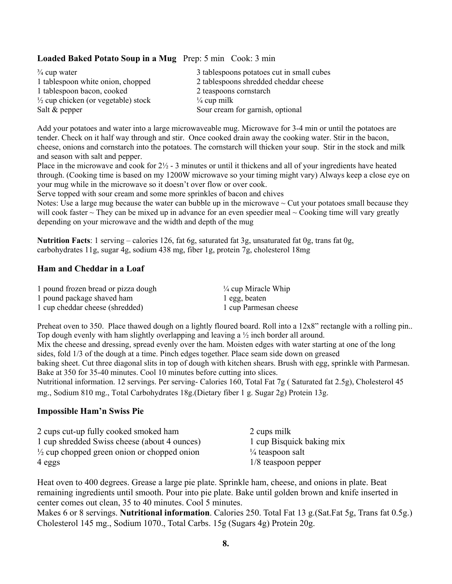#### **Loaded Baked Potato Soup in a Mug** Prep: 5 min Cook: 3 min

| $\frac{3}{4}$ cup water                        | 3 tablespoons potatoes cut in small cubes |
|------------------------------------------------|-------------------------------------------|
| 1 tablespoon white onion, chopped              | 2 tablespoons shredded cheddar cheese     |
| 1 tablespoon bacon, cooked                     | 2 teaspoons cornstarch                    |
| $\frac{1}{2}$ cup chicken (or vegetable) stock | $\frac{1}{4}$ cup milk                    |
| Salt & pepper                                  | Sour cream for garnish, optional          |

Add your potatoes and water into a large microwaveable mug. Microwave for 3-4 min or until the potatoes are tender. Check on it half way through and stir. Once cooked drain away the cooking water. Stir in the bacon, cheese, onions and cornstarch into the potatoes. The cornstarch will thicken your soup. Stir in the stock and milk and season with salt and pepper.

Place in the microwave and cook for  $2\frac{1}{2}$  - 3 minutes or until it thickens and all of your ingredients have heated through. (Cooking time is based on my 1200W microwave so your timing might vary) Always keep a close eye on your mug while in the microwave so it doesn't over flow or over cook.

Serve topped with sour cream and some more sprinkles of bacon and chives

Notes: Use a large mug because the water can bubble up in the microwave ~ Cut your potatoes small because they will cook faster  $\sim$  They can be mixed up in advance for an even speedier meal  $\sim$  Cooking time will vary greatly depending on your microwave and the width and depth of the mug

**Nutrition Facts**: 1 serving – calories 126, fat 6g, saturated fat 3g, unsaturated fat 0g, trans fat 0g, carbohydrates 11g, sugar 4g, sodium 438 mg, fiber 1g, protein 7g, cholesterol 18mg

#### **Ham and Cheddar in a Loaf**

| 1 pound frozen bread or pizza dough | $\frac{1}{4}$ cup Miracle Whip |
|-------------------------------------|--------------------------------|
| 1 pound package shaved ham          | l egg, beaten                  |
| 1 cup cheddar cheese (shredded)     | 1 cup Parmesan cheese          |

Preheat oven to 350. Place thawed dough on a lightly floured board. Roll into a  $12x8$ " rectangle with a rolling pin.. Top dough evenly with ham slightly overlapping and leaving a  $\frac{1}{2}$  inch border all around. Mix the cheese and dressing, spread evenly over the ham. Moisten edges with water starting at one of the long

sides, fold 1/3 of the dough at a time. Pinch edges together. Place seam side down on greased baking sheet. Cut three diagonal slits in top of dough with kitchen shears. Brush with egg, sprinkle with Parmesan. Bake at 350 for 35-40 minutes. Cool 10 minutes before cutting into slices.

Nutritional information. 12 servings. Per serving- Calories 160, Total Fat 7g ( Saturated fat 2.5g), Cholesterol 45 mg., Sodium 810 mg., Total Carbohydrates 18g.(Dietary fiber 1 g. Sugar 2g) Protein 13g.

#### **Impossible Ham'n Swiss Pie**

| 2 cups cut-up fully cooked smoked ham                  | 2 cups milk                 |
|--------------------------------------------------------|-----------------------------|
| 1 cup shredded Swiss cheese (about 4 ounces)           | 1 cup Bisquick baking mix   |
| $\frac{1}{2}$ cup chopped green onion or chopped onion | $\frac{1}{4}$ teaspoon salt |
| 4 eggs                                                 | $1/8$ teaspoon pepper       |

Heat oven to 400 degrees. Grease a large pie plate. Sprinkle ham, cheese, and onions in plate. Beat remaining ingredients until smooth. Pour into pie plate. Bake until golden brown and knife inserted in center comes out clean, 35 to 40 minutes. Cool 5 minutes.

Makes 6 or 8 servings. **Nutritional information**. Calories 250. Total Fat 13 g.(Sat.Fat 5g, Trans fat 0.5g.) Cholesterol 145 mg., Sodium 1070., Total Carbs. 15g (Sugars 4g) Protein 20g.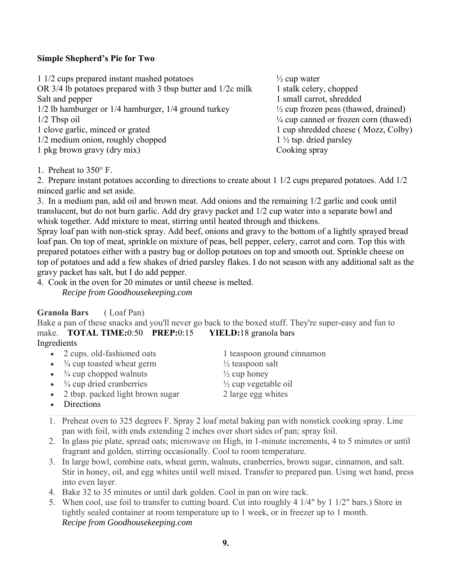#### **Simple Shepherd's Pie for Two**

1 1/2 cups prepared instant mashed potatoes ½ cup water OR  $3/4$  lb potatoes prepared with 3 tbsp butter and  $1/2c$  milk 1 stalk celery, chopped Salt and pepper 1 small carrot, shredded 1/2 lb hamburger or 1/4 hamburger, 1/4 ground turkey ½ cup frozen peas (thawed, drained)  $\frac{1}{2}$  Tbsp oil  $\frac{1}{4}$  cup canned or frozen corn (thawed) 1 clove garlic, minced or grated 1 cup shredded cheese (Mozz, Colby)  $1/2$  medium onion, roughly chopped  $1\frac{1}{2}$  tsp. dried parsley 1 pkg brown gravy (dry mix) Cooking spray

1. Preheat to 350° F.

2. Prepare instant potatoes according to directions to create about 1 1/2 cups prepared potatoes. Add 1/2 minced garlic and set aside.

3. In a medium pan, add oil and brown meat. Add onions and the remaining 1/2 garlic and cook until translucent, but do not burn garlic. Add dry gravy packet and 1/2 cup water into a separate bowl and whisk together. Add mixture to meat, stirring until heated through and thickens.

Spray loaf pan with non-stick spray. Add beef, onions and gravy to the bottom of a lightly sprayed bread loaf pan. On top of meat, sprinkle on mixture of peas, bell pepper, celery, carrot and corn. Top this with prepared potatoes either with a pastry bag or dollop potatoes on top and smooth out. Sprinkle cheese on top of potatoes and add a few shakes of dried parsley flakes. I do not season with any additional salt as the gravy packet has salt, but I do add pepper.

4. Cook in the oven for 20 minutes or until cheese is melted. *Recipe from Goodhousekeeping.com*

#### **Granola Bars** ( Loaf Pan)

Bake a pan of these snacks and you'll never go back to the boxed stuff. They're super-easy and fun to make. **TOTAL TIME:**0:50 **PREP:**0:15 **YIELD:**18 granola bars

#### Ingredients

- 2 cups. old-fashioned oats 1 teaspoon ground cinnamon
- $\frac{3}{4}$  cup toasted wheat germ  $\frac{1}{2}$  teaspoon salt
- $\frac{3}{4}$  cup chopped walnuts  $\frac{1}{2}$  cup honey
- $\frac{3}{4}$  cup dried cranberries  $\frac{1}{2}$  cup vegetable oil

• 2 tbsp. packed light brown sugar 2 large egg whites

- Directions
- 1. Preheat oven to 325 degrees F. Spray 2 loaf metal baking pan with nonstick cooking spray. Line pan with foil, with ends extending 2 inches over short sides of pan; spray foil.
- 2. In glass pie plate, spread oats; microwave on High, in 1-minute increments, 4 to 5 minutes or until fragrant and golden, stirring occasionally. Cool to room temperature.
- 3. In large bowl, combine oats, wheat germ, walnuts, cranberries, brown sugar, cinnamon, and salt. Stir in honey, oil, and egg whites until well mixed. Transfer to prepared pan. Using wet hand, press into even layer.
- 4. Bake 32 to 35 minutes or until dark golden. Cool in pan on wire rack.
- 5. When cool, use foil to transfer to cutting board. Cut into roughly 4 1/4" by 1 1/2" bars.) Store in tightly sealed container at room temperature up to 1 week, or in freezer up to 1 month. *Recipe from Goodhousekeeping.com*
- 
- 
- 
-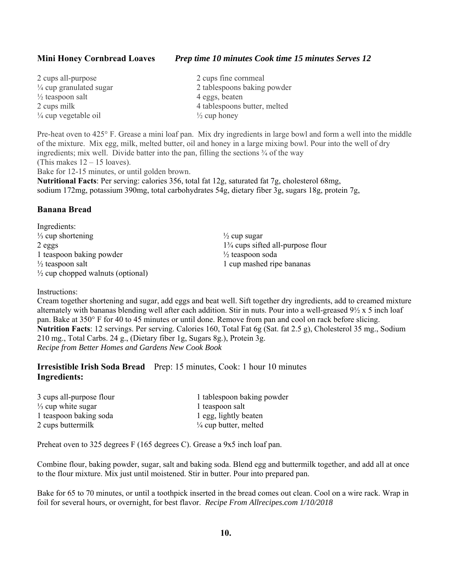**Mini Honey Cornbread Loaves** *Prep time 10 minutes Cook time 15 minutes Serves 12*

| 2 cups all-purpose                 | 2 cups fine cornmeal         |
|------------------------------------|------------------------------|
| $\frac{1}{4}$ cup granulated sugar | 2 tablespoons baking powder  |
| $\frac{1}{2}$ teaspoon salt        | 4 eggs, beaten               |
| 2 cups milk                        | 4 tablespoons butter, melted |
| $\frac{1}{4}$ cup vegetable oil    | $\frac{1}{2}$ cup honey      |

Pre-heat oven to 425° F. Grease a mini loaf pan. Mix dry ingredients in large bowl and form a well into the middle of the mixture. Mix egg, milk, melted butter, oil and honey in a large mixing bowl. Pour into the well of dry ingredients; mix well. Divide batter into the pan, filling the sections  $\frac{3}{4}$  of the way (This makes  $12 - 15$  loaves). Bake for 12-15 minutes, or until golden brown.

**Nutritional Facts**: Per serving: calories 356, total fat 12g, saturated fat 7g, cholesterol 68mg, sodium 172mg, potassium 390mg, total carbohydrates 54g, dietary fiber 3g, sugars 18g, protein 7g,

#### **Banana Bread**

Ingredients:  $\frac{1}{2}$  cup shortening  $\frac{1}{2}$  cup sugar 2 eggs 1<sup>3</sup>/<sub>4</sub> cups sifted all-purpose flour 1 teaspoon baking powder  $\frac{1}{2}$  teaspoon soda  $\frac{1}{2}$  teaspoon salt 1 cup mashed ripe bananas  $\frac{1}{2}$  cup chopped walnuts (optional)

#### Instructions:

Cream together shortening and sugar, add eggs and beat well. Sift together dry ingredients, add to creamed mixture alternately with bananas blending well after each addition. Stir in nuts. Pour into a well-greased 9½ x 5 inch loaf pan. Bake at 350° F for 40 to 45 minutes or until done. Remove from pan and cool on rack before slicing. **Nutrition Facts**: 12 servings. Per serving. Calories 160, Total Fat 6g (Sat. fat 2.5 g), Cholesterol 35 mg., Sodium 210 mg., Total Carbs. 24 g., (Dietary fiber 1g, Sugars 8g.), Protein 3g. *Recipe from Better Homes and Gardens New Cook Book* 

**Irresistible Irish Soda Bread** Prep: 15 minutes, Cook: 1 hour 10 minutes **Ingredients:** 

| 3 cups all-purpose flour      | 1 tablespoon baking powder       |
|-------------------------------|----------------------------------|
| $\frac{1}{3}$ cup white sugar | 1 teaspoon salt                  |
| 1 teaspoon baking soda        | 1 egg, lightly beaten            |
| 2 cups buttermilk             | $\frac{1}{4}$ cup butter, melted |

Preheat oven to 325 degrees F (165 degrees C). Grease a 9x5 inch loaf pan.

Combine flour, baking powder, sugar, salt and baking soda. Blend egg and buttermilk together, and add all at once to the flour mixture. Mix just until moistened. Stir in butter. Pour into prepared pan.

Bake for 65 to 70 minutes, or until a toothpick inserted in the bread comes out clean. Cool on a wire rack. Wrap in foil for several hours, or overnight, for best flavor. *Recipe From Allrecipes.com 1/10/2018*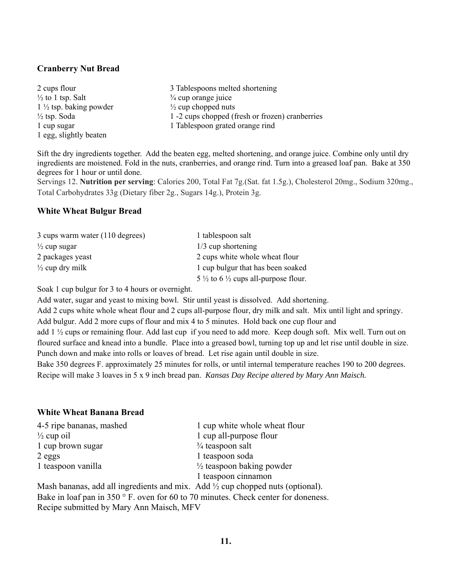#### **Cranberry Nut Bread**

| 2 cups flour                      | 3 Tablespoons melted shortening                 |
|-----------------------------------|-------------------------------------------------|
| $\frac{1}{2}$ to 1 tsp. Salt      | $\frac{3}{4}$ cup orange juice                  |
| $1\frac{1}{2}$ tsp. baking powder | $\frac{1}{2}$ cup chopped nuts                  |
| $\frac{1}{2}$ tsp. Soda           | 1 -2 cups chopped (fresh or frozen) cranberries |
| 1 cup sugar                       | 1 Tablespoon grated orange rind                 |
| 1 egg, slightly beaten            |                                                 |

Sift the dry ingredients together. Add the beaten egg, melted shortening, and orange juice. Combine only until dry ingredients are moistened. Fold in the nuts, cranberries, and orange rind. Turn into a greased loaf pan. Bake at 350 degrees for 1 hour or until done.

Servings 12. **Nutrition per serving**: Calories 200, Total Fat 7g.(Sat. fat 1.5g.), Cholesterol 20mg., Sodium 320mg., Total Carbohydrates 33g (Dietary fiber 2g., Sugars 14g.), Protein 3g.

#### **White Wheat Bulgur Bread**

| 3 cups warm water (110 degrees) | 1 tablespoon salt                                          |
|---------------------------------|------------------------------------------------------------|
| $\frac{1}{2}$ cup sugar         | $1/3$ cup shortening                                       |
| 2 packages yeast                | 2 cups white whole wheat flour                             |
| $\frac{1}{2}$ cup dry milk      | 1 cup bulgur that has been soaked                          |
|                                 | 5 $\frac{1}{2}$ to 6 $\frac{1}{2}$ cups all-purpose flour. |

Soak 1 cup bulgur for 3 to 4 hours or overnight.

Add water, sugar and yeast to mixing bowl. Stir until yeast is dissolved. Add shortening.

Add 2 cups white whole wheat flour and 2 cups all-purpose flour, dry milk and salt. Mix until light and springy.

Add bulgur. Add 2 more cups of flour and mix 4 to 5 minutes. Hold back one cup flour and

add 1 ½ cups or remaining flour. Add last cup if you need to add more. Keep dough soft. Mix well. Turn out on floured surface and knead into a bundle. Place into a greased bowl, turning top up and let rise until double in size. Punch down and make into rolls or loaves of bread. Let rise again until double in size.

Bake 350 degrees F. approximately 25 minutes for rolls, or until internal temperature reaches 190 to 200 degrees. Recipe will make 3 loaves in 5 x 9 inch bread pan. *Kansas Day Recipe altered by Mary Ann Maisch.* 

#### **White Wheat Banana Bread**

| 4-5 ripe bananas, mashed                                                                      | 1 cup white whole wheat flour        |
|-----------------------------------------------------------------------------------------------|--------------------------------------|
| $\frac{1}{2}$ cup oil                                                                         | 1 cup all-purpose flour              |
| 1 cup brown sugar                                                                             | $\frac{3}{4}$ teaspoon salt          |
| $2$ eggs                                                                                      | 1 teaspoon soda                      |
| 1 teaspoon vanilla                                                                            | $\frac{1}{2}$ teaspoon baking powder |
|                                                                                               | 1 teaspoon cinnamon                  |
| Mash bananas, add all ingredients and mix $\Delta$ dd $\frac{1}{2}$ cun chonned nuts (ontiona |                                      |

Mash bananas, add all ingredients and mix. Add ½ cup chopped nuts (optional). Bake in loaf pan in 350 $\degree$  F. oven for 60 to 70 minutes. Check center for doneness. Recipe submitted by Mary Ann Maisch, MFV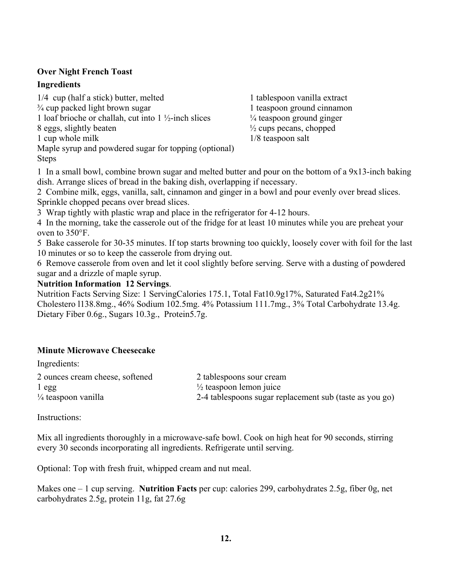#### **Over Night French Toast**

#### **Ingredients**

1/4 cup (half a stick) butter, melted 1 tablespoon vanilla extract  $\frac{3}{4}$  cup packed light brown sugar 1 teaspoon ground cinnamon 1 loaf brioche or challah, cut into  $1\frac{1}{2}$ -inch slices  $\frac{1}{4}$  teaspoon ground ginger 8 eggs, slightly beaten  $\frac{1}{2}$  cups pecans, chopped 1 cup whole milk 1/8 teaspoon salt Maple syrup and powdered sugar for topping (optional) Steps

1 In a small bowl, combine brown sugar and melted butter and pour on the bottom of a 9x13-inch baking dish. Arrange slices of bread in the baking dish, overlapping if necessary.

2 Combine milk, eggs, vanilla, salt, cinnamon and ginger in a bowl and pour evenly over bread slices. Sprinkle chopped pecans over bread slices.

3 Wrap tightly with plastic wrap and place in the refrigerator for 4-12 hours.

4 In the morning, take the casserole out of the fridge for at least 10 minutes while you are preheat your oven to 350°F.

5 Bake casserole for 30-35 minutes. If top starts browning too quickly, loosely cover with foil for the last 10 minutes or so to keep the casserole from drying out.

6 Remove casserole from oven and let it cool slightly before serving. Serve with a dusting of powdered sugar and a drizzle of maple syrup.

#### **Nutrition Information 12 Servings**.

Nutrition Facts Serving Size: 1 ServingCalories 175.1, Total Fat10.9g17%, Saturated Fat4.2g21% Cholestero l138.8mg., 46% Sodium 102.5mg. 4% Potassium 111.7mg., 3% Total Carbohydrate 13.4g. Dietary Fiber 0.6g., Sugars 10.3g., Protein5.7g.

#### **Minute Microwave Cheesecake**

| $+1$                            |                                                         |
|---------------------------------|---------------------------------------------------------|
| 2 ounces cream cheese, softened | 2 tablespoons sour cream                                |
| $1$ egg                         | $\frac{1}{2}$ teaspoon lemon juice                      |
| $\frac{1}{4}$ teaspoon vanilla  | 2-4 tablespoons sugar replacement sub (taste as you go) |
|                                 |                                                         |

Instructions:

Ingredients:

Mix all ingredients thoroughly in a microwave-safe bowl. Cook on high heat for 90 seconds, stirring every 30 seconds incorporating all ingredients. Refrigerate until serving.

Optional: Top with fresh fruit, whipped cream and nut meal.

Makes one – 1 cup serving. **Nutrition Facts** per cup: calories 299, carbohydrates 2.5g, fiber 0g, net carbohydrates 2.5g, protein 11g, fat 27.6g